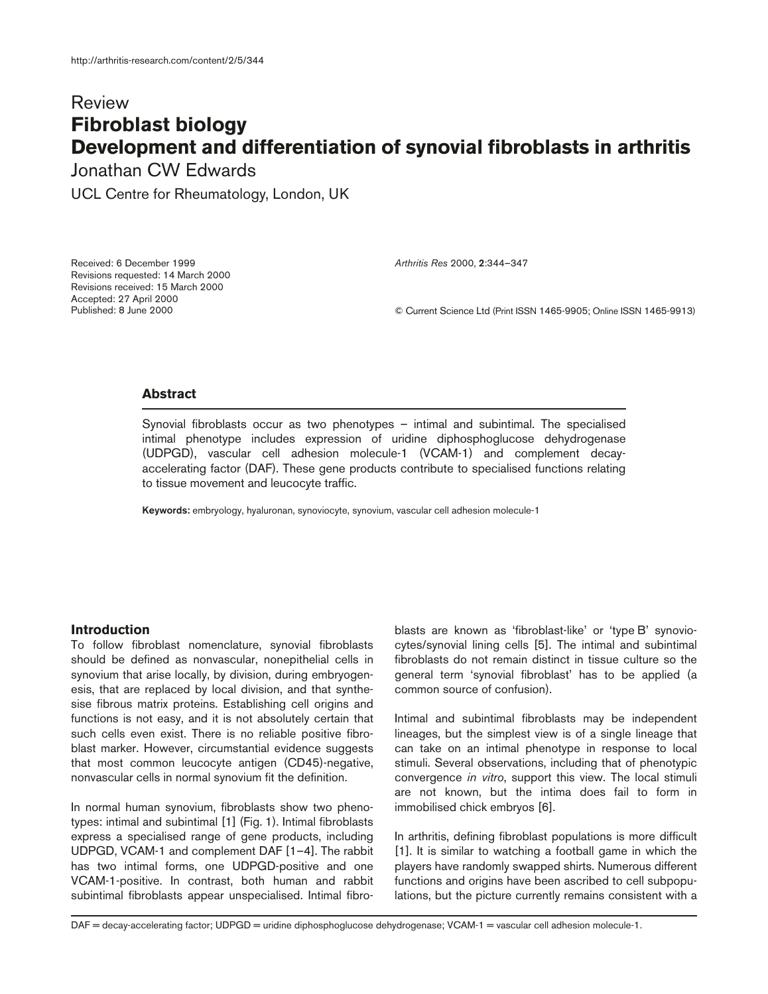# Review **Fibroblast biology Development and differentiation of synovial fibroblasts in arthritis**

Jonathan CW Edwards

UCL Centre for Rheumatology, London, UK

Received: 6 December 1999 Revisions requested: 14 March 2000 Revisions received: 15 March 2000 Accepted: 27 April 2000 Published: 8 June 2000

*Arthritis Res* 2000, **2**:344–347

© Current Science Ltd (Print ISSN 1465-9905; Online ISSN 1465-9913)

# **Abstract**

Synovial fibroblasts occur as two phenotypes – intimal and subintimal. The specialised intimal phenotype includes expression of uridine diphosphoglucose dehydrogenase (UDPGD), vascular cell adhesion molecule-1 (VCAM-1) and complement decayaccelerating factor (DAF). These gene products contribute to specialised functions relating to tissue movement and leucocyte traffic.

**Keywords:** embryology, hyaluronan, synoviocyte, synovium, vascular cell adhesion molecule-1

## **Introduction**

To follow fibroblast nomenclature, synovial fibroblasts should be defined as nonvascular, nonepithelial cells in synovium that arise locally, by division, during embryogenesis, that are replaced by local division, and that synthesise fibrous matrix proteins. Establishing cell origins and functions is not easy, and it is not absolutely certain that such cells even exist. There is no reliable positive fibroblast marker. However, circumstantial evidence suggests that most common leucocyte antigen (CD45)-negative, nonvascular cells in normal synovium fit the definition.

In normal human synovium, fibroblasts show two phenotypes: intimal and subintimal [1] (Fig. 1). Intimal fibroblasts express a specialised range of gene products, including UDPGD, VCAM-1 and complement DAF [1–4]. The rabbit has two intimal forms, one UDPGD-positive and one VCAM-1-positive. In contrast, both human and rabbit subintimal fibroblasts appear unspecialised. Intimal fibroblasts are known as 'fibroblast-like' or 'type B' synoviocytes/synovial lining cells [5]. The intimal and subintimal fibroblasts do not remain distinct in tissue culture so the general term 'synovial fibroblast' has to be applied (a common source of confusion).

Intimal and subintimal fibroblasts may be independent lineages, but the simplest view is of a single lineage that can take on an intimal phenotype in response to local stimuli. Several observations, including that of phenotypic convergence *in vitro*, support this view. The local stimuli are not known, but the intima does fail to form in immobilised chick embryos [6].

In arthritis, defining fibroblast populations is more difficult [1]. It is similar to watching a football game in which the players have randomly swapped shirts. Numerous different functions and origins have been ascribed to cell subpopulations, but the picture currently remains consistent with a

DAF = decay-accelerating factor; UDPGD = uridine diphosphoglucose dehydrogenase; VCAM-1 = vascular cell adhesion molecule-1.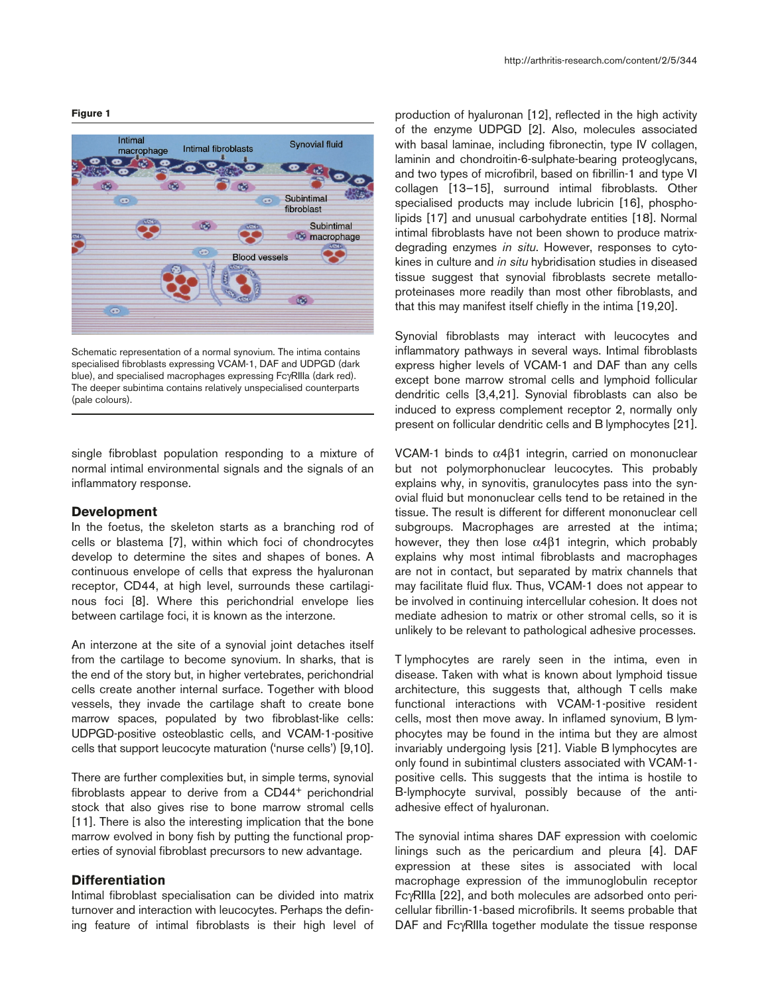#### **Figure 1**



Schematic representation of a normal synovium. The intima contains specialised fibroblasts expressing VCAM-1, DAF and UDPGD (dark blue), and specialised macrophages expressing FcγRIIIa (dark red). The deeper subintima contains relatively unspecialised counterparts (pale colours).

single fibroblast population responding to a mixture of normal intimal environmental signals and the signals of an inflammatory response.

### **Development**

In the foetus, the skeleton starts as a branching rod of cells or blastema [7], within which foci of chondrocytes develop to determine the sites and shapes of bones. A continuous envelope of cells that express the hyaluronan receptor, CD44, at high level, surrounds these cartilaginous foci [8]. Where this perichondrial envelope lies between cartilage foci, it is known as the interzone.

An interzone at the site of a synovial joint detaches itself from the cartilage to become synovium. In sharks, that is the end of the story but, in higher vertebrates, perichondrial cells create another internal surface. Together with blood vessels, they invade the cartilage shaft to create bone marrow spaces, populated by two fibroblast-like cells: UDPGD-positive osteoblastic cells, and VCAM-1-positive cells that support leucocyte maturation ('nurse cells') [9,10].

There are further complexities but, in simple terms, synovial fibroblasts appear to derive from a CD44+ perichondrial stock that also gives rise to bone marrow stromal cells [11]. There is also the interesting implication that the bone marrow evolved in bony fish by putting the functional properties of synovial fibroblast precursors to new advantage.

# **Differentiation**

Intimal fibroblast specialisation can be divided into matrix turnover and interaction with leucocytes. Perhaps the defining feature of intimal fibroblasts is their high level of

production of hyaluronan [12], reflected in the high activity of the enzyme UDPGD [2]. Also, molecules associated with basal laminae, including fibronectin, type IV collagen, laminin and chondroitin-6-sulphate-bearing proteoglycans, and two types of microfibril, based on fibrillin-1 and type VI collagen [13–15], surround intimal fibroblasts. Other specialised products may include lubricin [16], phospholipids [17] and unusual carbohydrate entities [18]. Normal intimal fibroblasts have not been shown to produce matrixdegrading enzymes *in situ*. However, responses to cytokines in culture and *in situ* hybridisation studies in diseased tissue suggest that synovial fibroblasts secrete metalloproteinases more readily than most other fibroblasts, and that this may manifest itself chiefly in the intima [19,20].

Synovial fibroblasts may interact with leucocytes and inflammatory pathways in several ways. Intimal fibroblasts express higher levels of VCAM-1 and DAF than any cells except bone marrow stromal cells and lymphoid follicular dendritic cells [3,4,21]. Synovial fibroblasts can also be induced to express complement receptor 2, normally only present on follicular dendritic cells and B lymphocytes [21].

VCAM-1 binds to α4β1 integrin, carried on mononuclear but not polymorphonuclear leucocytes. This probably explains why, in synovitis, granulocytes pass into the synovial fluid but mononuclear cells tend to be retained in the tissue. The result is different for different mononuclear cell subgroups. Macrophages are arrested at the intima; however, they then lose  $\alpha$ 4 $\beta$ 1 integrin, which probably explains why most intimal fibroblasts and macrophages are not in contact, but separated by matrix channels that may facilitate fluid flux. Thus, VCAM-1 does not appear to be involved in continuing intercellular cohesion. It does not mediate adhesion to matrix or other stromal cells, so it is unlikely to be relevant to pathological adhesive processes.

T lymphocytes are rarely seen in the intima, even in disease. Taken with what is known about lymphoid tissue architecture, this suggests that, although T cells make functional interactions with VCAM-1-positive resident cells, most then move away. In inflamed synovium, B lymphocytes may be found in the intima but they are almost invariably undergoing lysis [21]. Viable B lymphocytes are only found in subintimal clusters associated with VCAM-1 positive cells. This suggests that the intima is hostile to B-lymphocyte survival, possibly because of the antiadhesive effect of hyaluronan.

The synovial intima shares DAF expression with coelomic linings such as the pericardium and pleura [4]. DAF expression at these sites is associated with local macrophage expression of the immunoglobulin receptor FcγRIIIa [22], and both molecules are adsorbed onto pericellular fibrillin-1-based microfibrils. It seems probable that DAF and FcγRIIIa together modulate the tissue response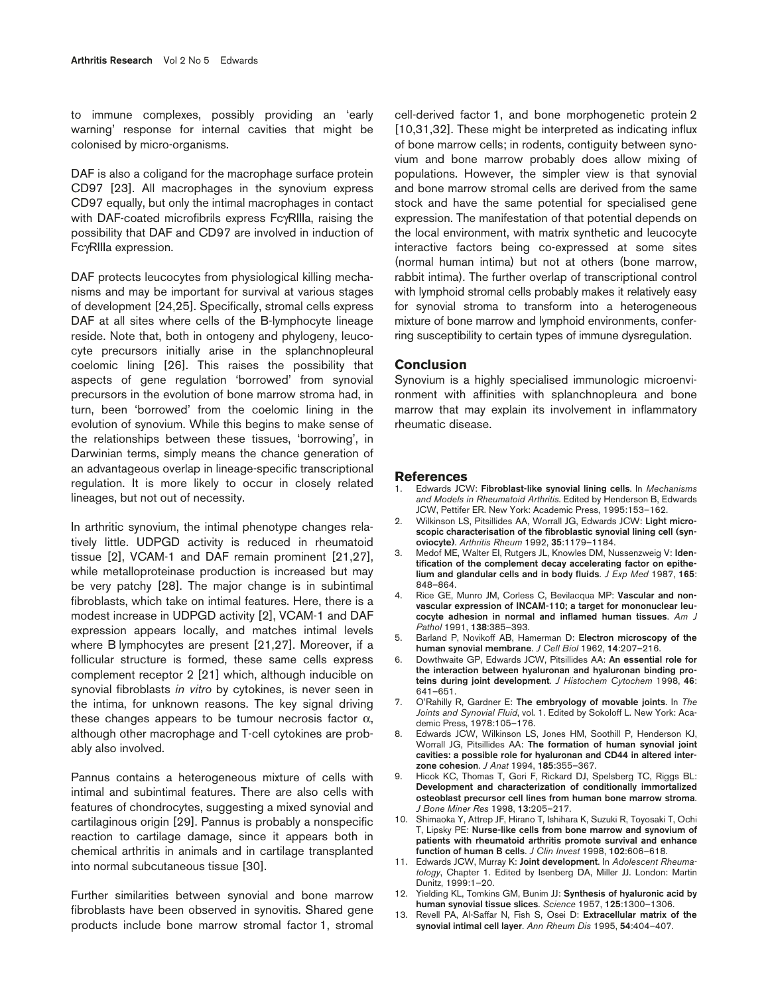to immune complexes, possibly providing an 'early warning' response for internal cavities that might be colonised by micro-organisms.

DAF is also a coligand for the macrophage surface protein CD97 [23]. All macrophages in the synovium express CD97 equally, but only the intimal macrophages in contact with DAF-coated microfibrils express FcγRIIIa, raising the possibility that DAF and CD97 are involved in induction of FcγRIIIa expression.

DAF protects leucocytes from physiological killing mechanisms and may be important for survival at various stages of development [24,25]. Specifically, stromal cells express DAF at all sites where cells of the B-lymphocyte lineage reside. Note that, both in ontogeny and phylogeny, leucocyte precursors initially arise in the splanchnopleural coelomic lining [26]. This raises the possibility that aspects of gene regulation 'borrowed' from synovial precursors in the evolution of bone marrow stroma had, in turn, been 'borrowed' from the coelomic lining in the evolution of synovium. While this begins to make sense of the relationships between these tissues, 'borrowing', in Darwinian terms, simply means the chance generation of an advantageous overlap in lineage-specific transcriptional regulation. It is more likely to occur in closely related lineages, but not out of necessity.

In arthritic synovium, the intimal phenotype changes relatively little. UDPGD activity is reduced in rheumatoid tissue [2], VCAM-1 and DAF remain prominent [21,27], while metalloproteinase production is increased but may be very patchy [28]. The major change is in subintimal fibroblasts, which take on intimal features. Here, there is a modest increase in UDPGD activity [2], VCAM-1 and DAF expression appears locally, and matches intimal levels where B lymphocytes are present [21,27]. Moreover, if a follicular structure is formed, these same cells express complement receptor 2 [21] which, although inducible on synovial fibroblasts *in vitro* by cytokines, is never seen in the intima, for unknown reasons. The key signal driving these changes appears to be tumour necrosis factor  $\alpha$ , although other macrophage and T-cell cytokines are probably also involved.

Pannus contains a heterogeneous mixture of cells with intimal and subintimal features. There are also cells with features of chondrocytes, suggesting a mixed synovial and cartilaginous origin [29]. Pannus is probably a nonspecific reaction to cartilage damage, since it appears both in chemical arthritis in animals and in cartilage transplanted into normal subcutaneous tissue [30].

Further similarities between synovial and bone marrow fibroblasts have been observed in synovitis. Shared gene products include bone marrow stromal factor 1, stromal cell-derived factor 1, and bone morphogenetic protein 2 [10,31,32]. These might be interpreted as indicating influx of bone marrow cells; in rodents, contiguity between synovium and bone marrow probably does allow mixing of populations. However, the simpler view is that synovial and bone marrow stromal cells are derived from the same stock and have the same potential for specialised gene expression. The manifestation of that potential depends on the local environment, with matrix synthetic and leucocyte interactive factors being co-expressed at some sites (normal human intima) but not at others (bone marrow, rabbit intima). The further overlap of transcriptional control with lymphoid stromal cells probably makes it relatively easy for synovial stroma to transform into a heterogeneous mixture of bone marrow and lymphoid environments, conferring susceptibility to certain types of immune dysregulation.

## **Conclusion**

Synovium is a highly specialised immunologic microenvironment with affinities with splanchnopleura and bone marrow that may explain its involvement in inflammatory rheumatic disease.

#### **References**

- 1. Edwards JCW: **Fibroblast-like synovial lining cells**. In *Mechanisms and Models in Rheumatoid Arthritis*. Edited by Henderson B, Edwards JCW, Pettifer ER. New York: Academic Press, 1995:153–162.
- 2. Wilkinson LS, Pitsillides AA, Worrall JG, Edwards JCW: **Light microscopic characterisation of the fibroblastic synovial lining cell (synoviocyte)**. *Arthritis Rheum* 1992, **35**:1179–1184.
- 3. Medof ME, Walter EI, Rutgers JL, Knowles DM, Nussenzweig V: **Identification of the complement decay accelerating factor on epithelium and glandular cells and in body fluids**. *J Exp Med* 1987, **165**: 848–864.
- 4. Rice GE, Munro JM, Corless C, Bevilacqua MP: **Vascular and nonvascular expression of INCAM-110; a target for mononuclear leucocyte adhesion in normal and inflamed human tissues**. *Am J Pathol* 1991, **138**:385–393.
- 5. Barland P, Novikoff AB, Hamerman D: **Electron microscopy of the human synovial membrane**. *J Cell Biol* 1962, **14**:207–216.
- 6. Dowthwaite GP, Edwards JCW, Pitsillides AA: **An essential role for the interaction between hyaluronan and hyaluronan binding proteins during joint development**. *J Histochem Cytochem* 1998, **46**: 641–651.
- 7. O'Rahilly R, Gardner E: **The embryology of movable joints**. In *The Joints and Synovial Fluid*, vol. 1. Edited by Sokoloff L. New York: Academic Press, 1978:105–176.
- 8. Edwards JCW, Wilkinson LS, Jones HM, Soothill P, Henderson KJ, Worrall JG, Pitsillides AA: **The formation of human synovial joint cavities: a possible role for hyaluronan and CD44 in altered interzone cohesion**. *J Anat* 1994, **185**:355–367.
- 9. Hicok KC, Thomas T, Gori F, Rickard DJ, Spelsberg TC, Riggs BL: **Development and characterization of conditionally immortalized osteoblast precursor cell lines from human bone marrow stroma**. *J Bone Miner Res* 1998, **13**:205–217.
- 10. Shimaoka Y, Attrep JF, Hirano T, Ishihara K, Suzuki R, Toyosaki T, Ochi T, Lipsky PE: **Nurse-like cells from bone marrow and synovium of patients with rheumatoid arthritis promote survival and enhance function of human B cells**. *J Clin Invest* 1998, **102**:606–618.
- 11. Edwards JCW, Murray K: **Joint development**. In *Adolescent Rheumatology*, Chapter 1. Edited by Isenberg DA, Miller JJ. London: Martin Dunitz, 1999:1–20.
- 12. Yielding KL, Tomkins GM, Bunim JJ: **Synthesis of hyaluronic acid by human synovial tissue slices**. *Science* 1957, **125**:1300–1306.
- 13. Revell PA, Al-Saffar N, Fish S, Osei D: **Extracellular matrix of the synovial intimal cell layer**. *Ann Rheum Dis* 1995, **54**:404–407.